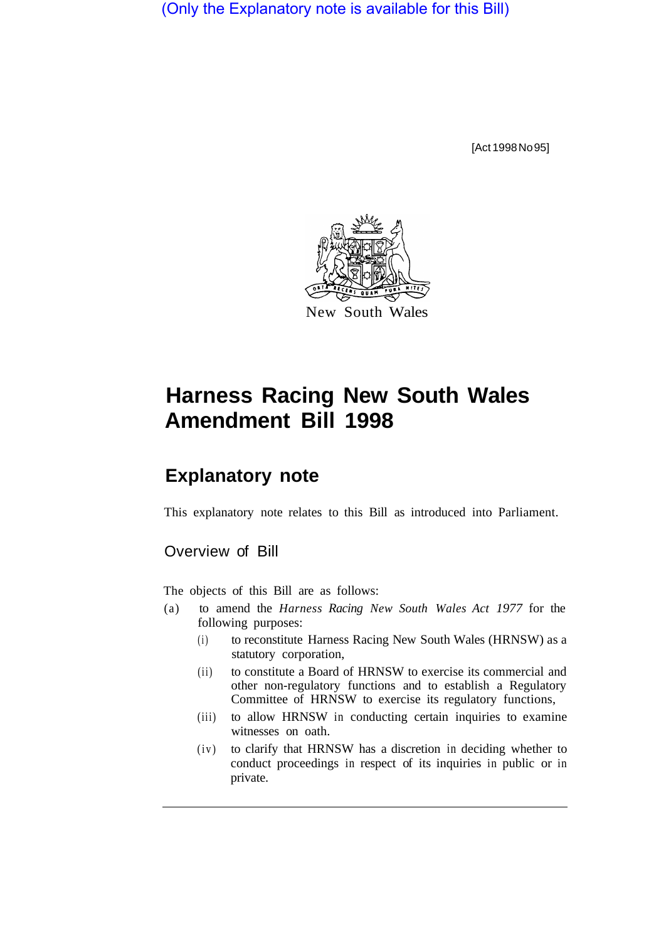(Only the Explanatory note is available for this Bill)

[Act 1998 No 95]



# **Harness Racing New South Wales Amendment Bill 1998**

# **Explanatory note**

This explanatory note relates to this Bill as introduced into Parliament.

## Overview of Bill

The objects of this Bill are as follows:

- (a) to amend the *Harness Racing New South Wales Act 1977* for the following purposes:
	- (i) to reconstitute Harness Racing New South Wales (HRNSW) as a statutory corporation,
	- (ii) to constitute a Board of HRNSW to exercise its commercial and other non-regulatory functions and to establish a Regulatory Committee of HRNSW to exercise its regulatory functions,
	- (iii) to allow HRNSW in conducting certain inquiries to examine witnesses on oath.
	- (iv) to clarify that HRNSW has a discretion in deciding whether to conduct proceedings in respect of its inquiries in public or in private.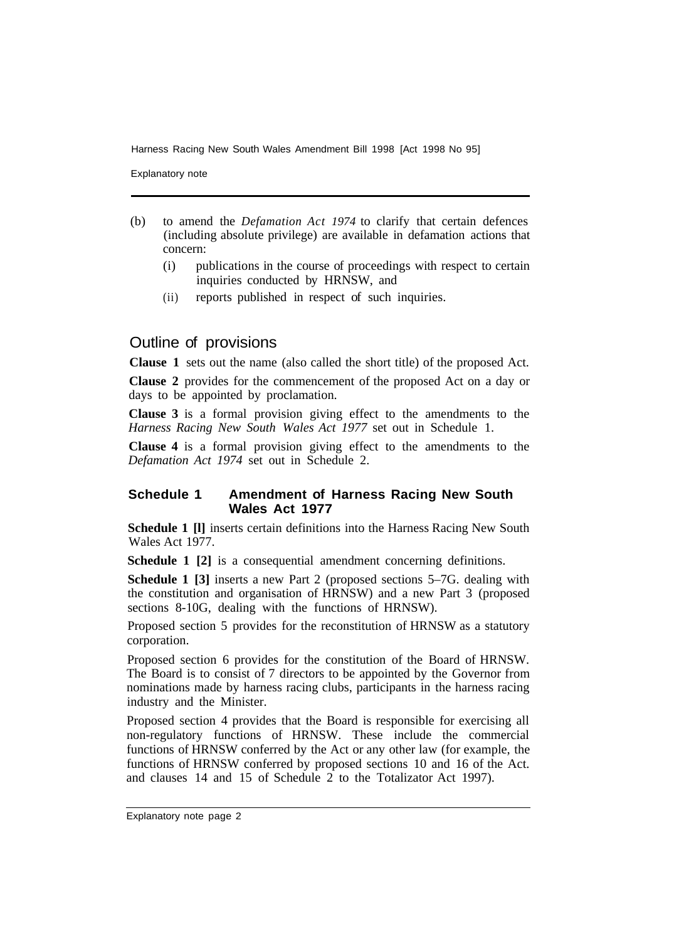Explanatory note

- (b) to amend the *Defamation Act 1974* to clarify that certain defences (including absolute privilege) are available in defamation actions that concern:
	- (i) publications in the course of proceedings with respect to certain inquiries conducted by HRNSW, and
	- (ii) reports published in respect of such inquiries.

## Outline of provisions

**Clause 1** sets out the name (also called the short title) of the proposed Act.

**Clause 2** provides for the commencement of the proposed Act on a day or days to be appointed by proclamation.

**Clause 3** is a formal provision giving effect to the amendments to the *Harness Racing New South Wales Act 1977* set out in Schedule 1.

**Clause 4** is a formal provision giving effect to the amendments to the *Defamation Act 1974* set out in Schedule 2.

#### **Schedule 1 Amendment of Harness Racing New South Wales Act 1977**

**Schedule 1 [l]** inserts certain definitions into the Harness Racing New South Wales Act 1977.

**Schedule 1 [2]** is a consequential amendment concerning definitions.

**Schedule 1 [3]** inserts a new Part 2 (proposed sections 5–7G. dealing with the constitution and organisation of HRNSW) and a new Part 3 (proposed sections 8-10G, dealing with the functions of HRNSW).

Proposed section 5 provides for the reconstitution of HRNSW as a statutory corporation.

Proposed section 6 provides for the constitution of the Board of HRNSW. The Board is to consist of 7 directors to be appointed by the Governor from nominations made by harness racing clubs, participants in the harness racing industry and the Minister.

Proposed section 4 provides that the Board is responsible for exercising all non-regulatory functions of HRNSW. These include the commercial functions of HRNSW conferred by the Act or any other law (for example, the functions of HRNSW conferred by proposed sections 10 and 16 of the Act. and clauses 14 and 15 of Schedule 2 to the Totalizator Act 1997).

Explanatory note page 2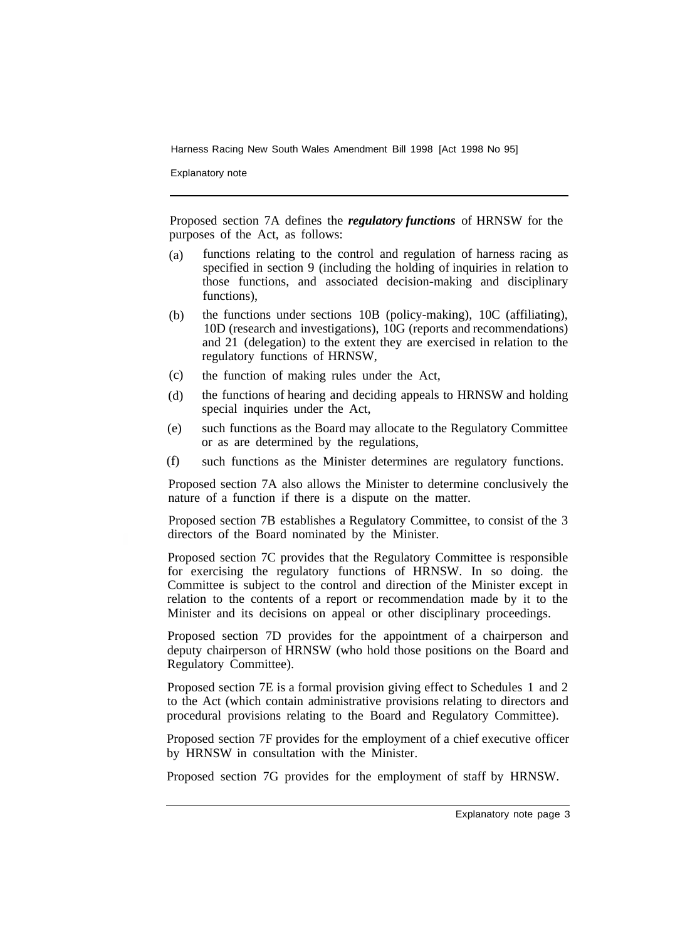Explanatory note

Proposed section 7A defines the *regulatory functions* of HRNSW for the purposes of the Act, as follows:

- functions relating to the control and regulation of harness racing as specified in section 9 (including the holding of inquiries in relation to those functions, and associated decision-making and disciplinary functions), (a)
- the functions under sections 10B (policy-making), 10C (affiliating), 10D (research and investigations), 10G (reports and recommendations) and 21 (delegation) to the extent they are exercised in relation to the regulatory functions of HRNSW, (b)
- the function of making rules under the Act, (c)
- the functions of hearing and deciding appeals to HRNSW and holding special inquiries under the Act, (d)
- such functions as the Board may allocate to the Regulatory Committee or as are determined by the regulations, (e)
- such functions as the Minister determines are regulatory functions. (f)

Proposed section 7A also allows the Minister to determine conclusively the nature of a function if there is a dispute on the matter.

Proposed section 7B establishes a Regulatory Committee, to consist of the 3 directors of the Board nominated by the Minister.

Proposed section 7C provides that the Regulatory Committee is responsible for exercising the regulatory functions of HRNSW. In so doing. the Committee is subject to the control and direction of the Minister except in relation to the contents of a report or recommendation made by it to the Minister and its decisions on appeal or other disciplinary proceedings.

Proposed section 7D provides for the appointment of a chairperson and deputy chairperson of HRNSW (who hold those positions on the Board and Regulatory Committee).

Proposed section 7E is a formal provision giving effect to Schedules 1 and 2 to the Act (which contain administrative provisions relating to directors and procedural provisions relating to the Board and Regulatory Committee).

Proposed section 7F provides for the employment of a chief executive officer by HRNSW in consultation with the Minister.

Proposed section 7G provides for the employment of staff by HRNSW.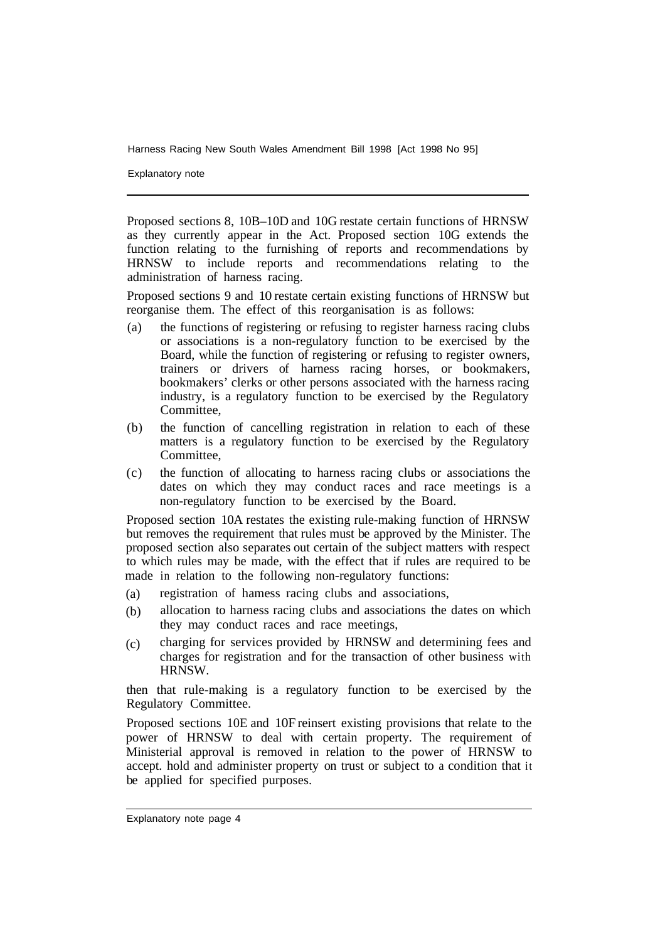Explanatory note

Proposed sections 8, 10B–10D and 10G restate certain functions of HRNSW as they currently appear in the Act. Proposed section 10G extends the function relating to the furnishing of reports and recommendations by HRNSW to include reports and recommendations relating to the administration of harness racing.

Proposed sections 9 and 10 restate certain existing functions of HRNSW but reorganise them. The effect of this reorganisation is as follows:

- (a) the functions of registering or refusing to register harness racing clubs or associations is a non-regulatory function to be exercised by the Board, while the function of registering or refusing to register owners, trainers or drivers of harness racing horses, or bookmakers, bookmakers' clerks or other persons associated with the harness racing industry, is a regulatory function to be exercised by the Regulatory Committee,
- (b) the function of cancelling registration in relation to each of these matters is a regulatory function to be exercised by the Regulatory Committee,
- (c) the function of allocating to harness racing clubs or associations the dates on which they may conduct races and race meetings is a non-regulatory function to be exercised by the Board.

Proposed section 10A restates the existing rule-making function of HRNSW but removes the requirement that rules must be approved by the Minister. The proposed section also separates out certain of the subject matters with respect to which rules may be made, with the effect that if rules are required to be made in relation to the following non-regulatory functions:

- registration of hamess racing clubs and associations, (a)
- allocation to harness racing clubs and associations the dates on which they may conduct races and race meetings, (b)
- charging for services provided by HRNSW and determining fees and charges for registration and for the transaction of other business with HRNSW. (c)

then that rule-making is a regulatory function to be exercised by the Regulatory Committee.

Proposed sections 10E and 10F reinsert existing provisions that relate to the power of HRNSW to deal with certain property. The requirement of Ministerial approval is removed in relation to the power of HRNSW to accept. hold and administer property on trust or subject to a condition that it be applied for specified purposes.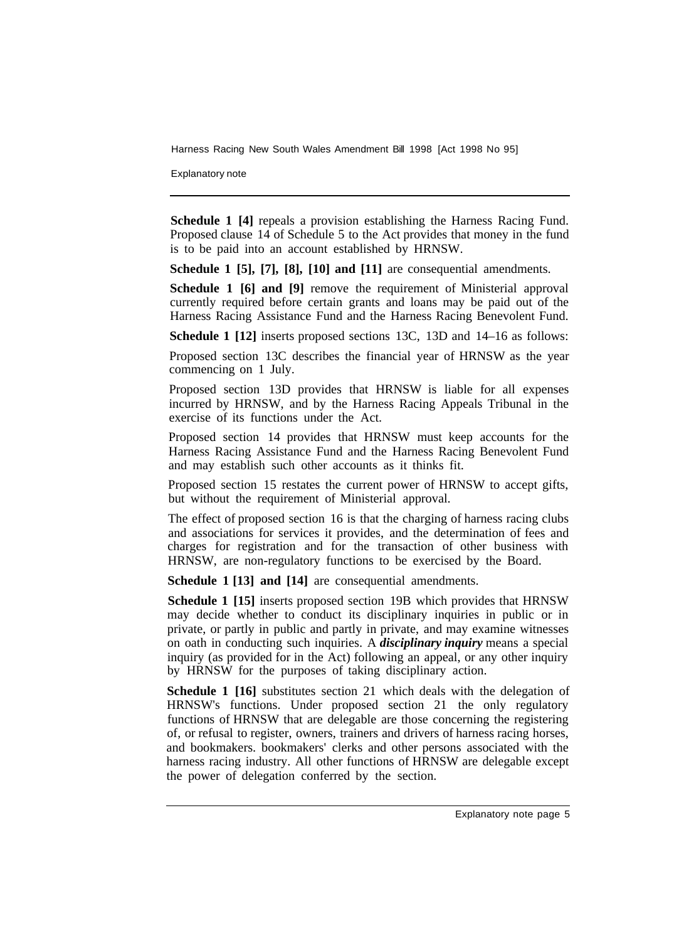Explanatory note

**Schedule 1 [4]** repeals a provision establishing the Harness Racing Fund. Proposed clause 14 of Schedule 5 to the Act provides that money in the fund is to be paid into an account established by HRNSW.

**Schedule 1 [5], [7], [8], [10] and [11]** are consequential amendments.

**Schedule 1 [6] and [9] remove the requirement of Ministerial approval** currently required before certain grants and loans may be paid out of the Harness Racing Assistance Fund and the Harness Racing Benevolent Fund.

**Schedule 1 [12]** inserts proposed sections 13C, 13D and 14–16 as follows:

Proposed section 13C describes the financial year of HRNSW as the year commencing on 1 July.

Proposed section 13D provides that HRNSW is liable for all expenses incurred by HRNSW, and by the Harness Racing Appeals Tribunal in the exercise of its functions under the Act.

Proposed section 14 provides that HRNSW must keep accounts for the Harness Racing Assistance Fund and the Harness Racing Benevolent Fund and may establish such other accounts as it thinks fit.

Proposed section 15 restates the current power of HRNSW to accept gifts, but without the requirement of Ministerial approval.

The effect of proposed section 16 is that the charging of harness racing clubs and associations for services it provides, and the determination of fees and charges for registration and for the transaction of other business with HRNSW, are non-regulatory functions to be exercised by the Board.

**Schedule 1 [13] and [14]** are consequential amendments.

**Schedule 1 [15]** inserts proposed section 19B which provides that HRNSW may decide whether to conduct its disciplinary inquiries in public or in private, or partly in public and partly in private, and may examine witnesses on oath in conducting such inquiries. A *disciplinary inquiry* means a special inquiry (as provided for in the Act) following an appeal, or any other inquiry by HRNSW for the purposes of taking disciplinary action.

**Schedule 1 [16]** substitutes section 21 which deals with the delegation of HRNSW's functions. Under proposed section 21 the only regulatory functions of HRNSW that are delegable are those concerning the registering of, or refusal to register, owners, trainers and drivers of harness racing horses, and bookmakers. bookmakers' clerks and other persons associated with the harness racing industry. All other functions of HRNSW are delegable except the power of delegation conferred by the section.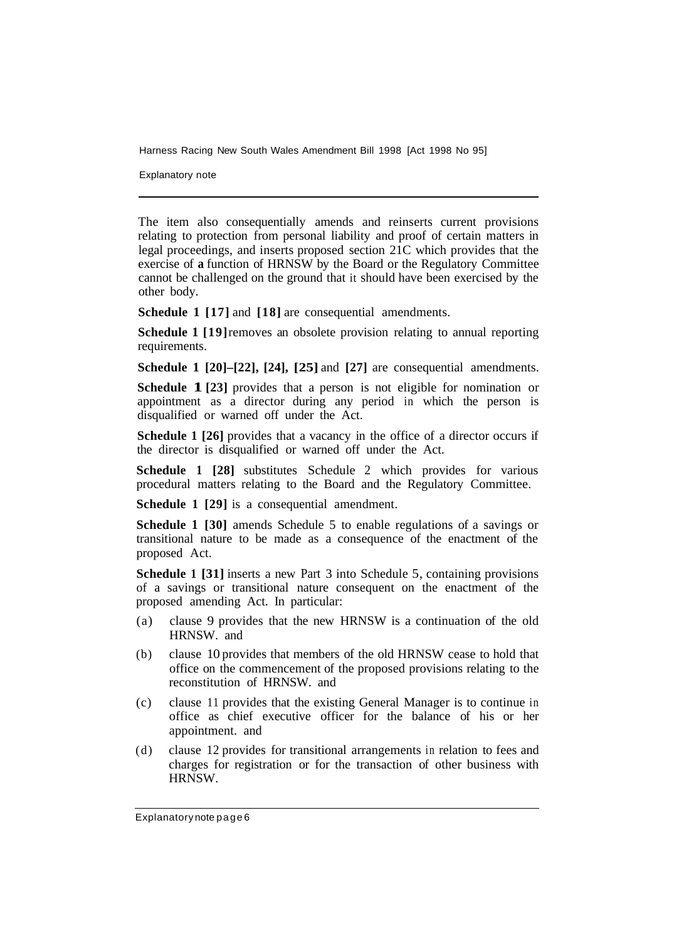Explanatory note

The item also consequentially amends and reinserts current provisions relating to protection from personal liability and proof of certain matters in legal proceedings, and inserts proposed section 21C which provides that the exercise of **a** function of HRNSW by the Board or the Regulatory Committee cannot be challenged on the ground that it should have been exercised by the other body.

**Schedule 1 [17]** and **[18]** are consequential amendments.

**Schedule 1 [19]** removes an obsolete provision relating to annual reporting requirements.

**Schedule 1 [20]–[22], [24], [25]** and **[27]** are consequential amendments.

**Schedule 1 [23]** provides that a person is not eligible for nomination or appointment as a director during any period in which the person is disqualified or warned off under the Act.

**Schedule 1 [26]** provides that a vacancy in the office of a director occurs if the director is disqualified or warned off under the Act.

**Schedule 1 [28]** substitutes Schedule 2 which provides for various procedural matters relating to the Board and the Regulatory Committee.

**Schedule 1 [29]** is a consequential amendment.

**Schedule 1 [30]** amends Schedule 5 to enable regulations of a savings or transitional nature to be made as a consequence of the enactment of the proposed Act.

**Schedule 1 [31]** inserts a new Part 3 into Schedule 5, containing provisions of a savings or transitional nature consequent on the enactment of the proposed amending Act. In particular:

- (a) clause 9 provides that the new HRNSW is a continuation of the old HRNSW. and
- (b) clause 10 provides that members of the old HRNSW cease to hold that office on the commencement of the proposed provisions relating to the reconstitution of HRNSW. and
- (c) clause 11 provides that the existing General Manager is to continue in office as chief executive officer for the balance of his or her appointment. and
- (d) clause 12 provides for transitional arrangements in relation to fees and charges for registration or for the transaction of other business with HRNSW.